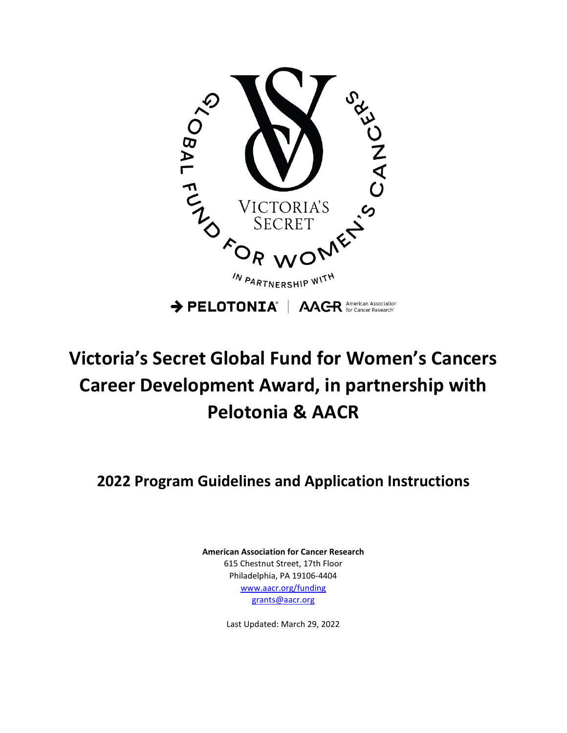

# **Victoria's Secret Global Fund for Women's Cancers Career Development Award, in partnership with Pelotonia & AACR**

**2022 Program Guidelines and Application Instructions**

**American Association for Cancer Research** 615 Chestnut Street, 17th Floor Philadelphia, PA 19106-4404 [www.aacr.org/funding](http://www.aacr.org/funding) [grants@aacr.org](mailto:grants@aacr.org)

Last Updated: March 29, 2022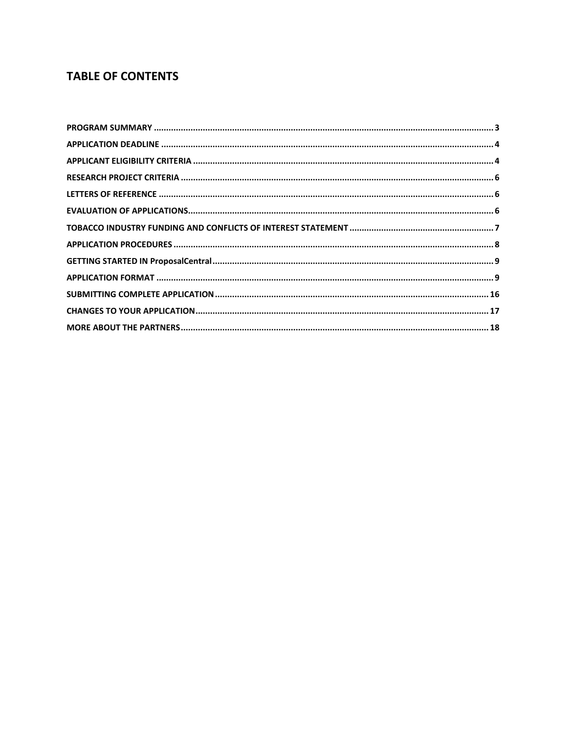# **TABLE OF CONTENTS**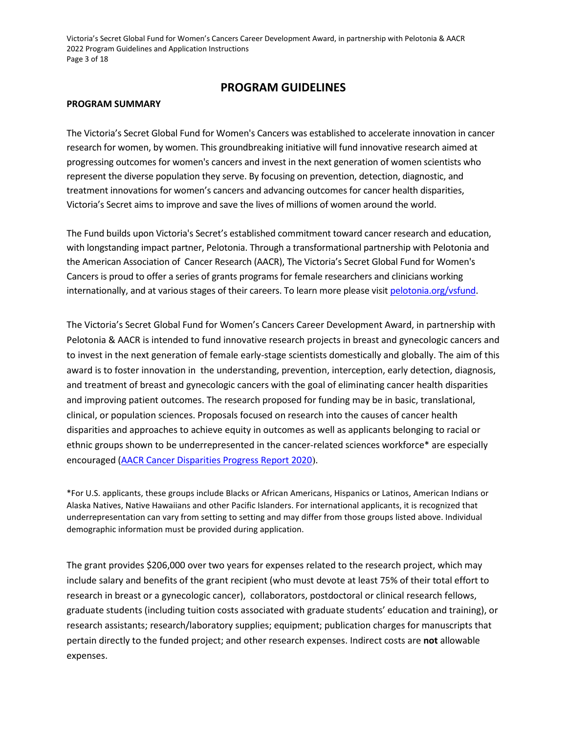Victoria's Secret Global Fund for Women's Cancers Career Development Award, in partnership with Pelotonia & AACR 2022 Program Guidelines and Application Instructions Page 3 of 18

# **PROGRAM GUIDELINES**

### <span id="page-2-0"></span>**PROGRAM SUMMARY**

The Victoria's Secret Global Fund for Women's Cancers was established to accelerate innovation in cancer research for women, by women. This groundbreaking initiative will fund innovative research aimed at progressing outcomes for women's cancers and invest in the next generation of women scientists who represent the diverse population they serve. By focusing on prevention, detection, diagnostic, and treatment innovations for women's cancers and advancing outcomes for cancer health disparities, Victoria's Secret aims to improve and save the lives of millions of women around the world.

The Fund builds upon Victoria's Secret's established commitment toward cancer research and education, with longstanding impact partner, Pelotonia. Through a transformational partnership with Pelotonia and the American Association of Cancer Research (AACR), The Victoria's Secret Global Fund for Women's Cancers is proud to offer a series of grants programs for female researchers and clinicians working internationally, and at various stages of their careers. To learn more please visit [pelotonia.org/vsfund.](https://www.pelotonia.org/vsfund)

The Victoria's Secret Global Fund for Women's Cancers Career Development Award, in partnership with Pelotonia & AACR is intended to fund innovative research projects in breast and gynecologic cancers and to invest in the next generation of female early-stage scientists domestically and globally. The aim of this award is to foster innovation in the understanding, prevention, interception, early detection, diagnosis, and treatment of breast and gynecologic cancers with the goal of eliminating cancer health disparities and improving patient outcomes. The research proposed for funding may be in basic, translational, clinical, or population sciences. Proposals focused on research into the causes of cancer health disparities and approaches to achieve equity in outcomes as well as applicants belonging to racial or ethnic groups shown to be underrepresented in the cancer-related sciences workforce\* are especially encouraged [\(AACR Cancer Disparities Progress Report 2020](https://cancerprogressreport.aacr.org/disparities/)).

\*For U.S. applicants, these groups include Blacks or African Americans, Hispanics or Latinos, American Indians or Alaska Natives, Native Hawaiians and other Pacific Islanders. For international applicants, it is recognized that underrepresentation can vary from setting to setting and may differ from those groups listed above. Individual demographic information must be provided during application.

The grant provides \$206,000 over two years for expenses related to the research project, which may include salary and benefits of the grant recipient (who must devote at least 75% of their total effort to research in breast or a gynecologic cancer), collaborators, postdoctoral or clinical research fellows, graduate students (including tuition costs associated with graduate students' education and training), or research assistants; research/laboratory supplies; equipment; publication charges for manuscripts that pertain directly to the funded project; and other research expenses. Indirect costs are **not** allowable expenses.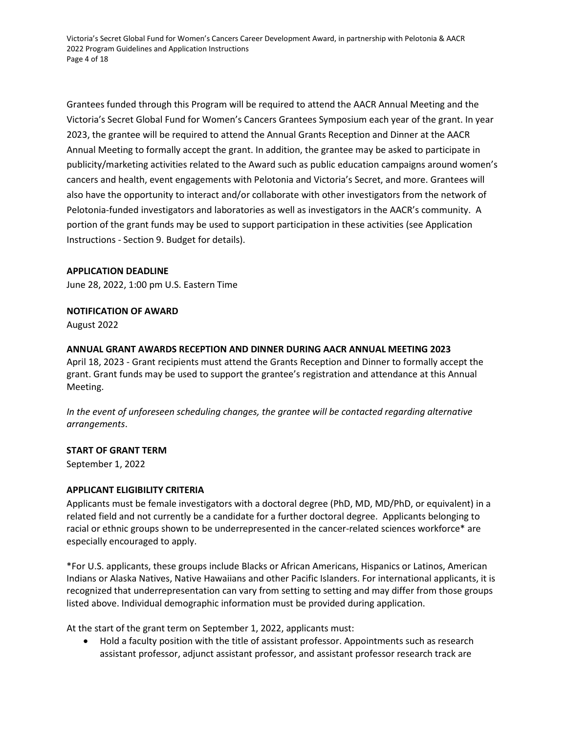Victoria's Secret Global Fund for Women's Cancers Career Development Award, in partnership with Pelotonia & AACR 2022 Program Guidelines and Application Instructions Page 4 of 18

Grantees funded through this Program will be required to attend the AACR Annual Meeting and the Victoria's Secret Global Fund for Women's Cancers Grantees Symposium each year of the grant. In year 2023, the grantee will be required to attend the Annual Grants Reception and Dinner at the AACR Annual Meeting to formally accept the grant. In addition, the grantee may be asked to participate in publicity/marketing activities related to the Award such as public education campaigns around women's cancers and health, event engagements with Pelotonia and Victoria's Secret, and more. Grantees will also have the opportunity to interact and/or collaborate with other investigators from the network of Pelotonia-funded investigators and laboratories as well as investigators in the AACR's community. A portion of the grant funds may be used to support participation in these activities (see Application Instructions - Section 9. Budget for details).

# <span id="page-3-0"></span>**APPLICATION DEADLINE**

June 28, 2022, 1:00 pm U.S. Eastern Time

# **NOTIFICATION OF AWARD**

August 2022

# **ANNUAL GRANT AWARDS RECEPTION AND DINNER DURING AACR ANNUAL MEETING 2023**

April 18, 2023 - Grant recipients must attend the Grants Reception and Dinner to formally accept the grant. Grant funds may be used to support the grantee's registration and attendance at this Annual Meeting.

*In the event of unforeseen scheduling changes, the grantee will be contacted regarding alternative arrangements*.

# **START OF GRANT TERM**

September 1, 2022

# <span id="page-3-1"></span>**APPLICANT ELIGIBILITY CRITERIA**

Applicants must be female investigators with a doctoral degree (PhD, MD, MD/PhD, or equivalent) in a related field and not currently be a candidate for a further doctoral degree. Applicants belonging to racial or ethnic groups shown to be underrepresented in the cancer-related sciences workforce\* are especially encouraged to apply.

\*For U.S. applicants, these groups include Blacks or African Americans, Hispanics or Latinos, American Indians or Alaska Natives, Native Hawaiians and other Pacific Islanders. For international applicants, it is recognized that underrepresentation can vary from setting to setting and may differ from those groups listed above. Individual demographic information must be provided during application.

At the start of the grant term on September 1, 2022, applicants must:

• Hold a faculty position with the title of assistant professor. Appointments such as research assistant professor, adjunct assistant professor, and assistant professor research track are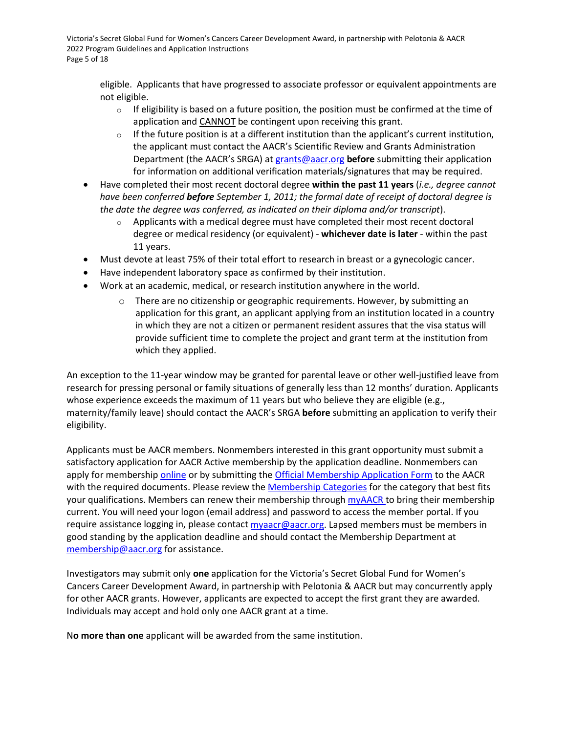Victoria's Secret Global Fund for Women's Cancers Career Development Award, in partnership with Pelotonia & AACR 2022 Program Guidelines and Application Instructions Page 5 of 18

eligible. Applicants that have progressed to associate professor or equivalent appointments are not eligible.

- $\circ$  If eligibility is based on a future position, the position must be confirmed at the time of application and CANNOT be contingent upon receiving this grant.
- $\circ$  If the future position is at a different institution than the applicant's current institution, the applicant must contact the AACR's Scientific Review and Grants Administration Department (the AACR's SRGA) a[t grants@aacr.org](mailto:grants@aacr.org) **before** submitting their application for information on additional verification materials/signatures that may be required.
- Have completed their most recent doctoral degree **within the past 11 years** (*i.e., degree cannot have been conferred before September 1, 2011; the formal date of receipt of doctoral degree is the date the degree was conferred, as indicated on their diploma and/or transcript*).
	- $\circ$  Applicants with a medical degree must have completed their most recent doctoral degree or medical residency (or equivalent) - **whichever date is later** - within the past 11 years.
- Must devote at least 75% of their total effort to research in breast or a gynecologic cancer.
- Have independent laboratory space as confirmed by their institution.
- Work at an academic, medical, or research institution anywhere in the world.
	- o There are no citizenship or geographic requirements. However, by submitting an application for this grant, an applicant applying from an institution located in a country in which they are not a citizen or permanent resident assures that the visa status will provide sufficient time to complete the project and grant term at the institution from which they applied.

An exception to the 11-year window may be granted for parental leave or other well-justified leave from research for pressing personal or family situations of generally less than 12 months' duration. Applicants whose experience exceeds the maximum of 11 years but who believe they are eligible (e.g., maternity/family leave) should contact the AACR's SRGA **before** submitting an application to verify their eligibility.

Applicants must be AACR members. Nonmembers interested in this grant opportunity must submit a satisfactory application for AACR Active membership by the application deadline. Nonmembers can apply for membership [online](https://myaacr.aacr.org/) or by submitting the [Official Membership Application Form](https://www.aacr.org/wp-content/uploads/2020/04/20_MemApp.pdf) to the AACR with the required documents. Please review the [Membership Categories](https://www.aacr.org/professionals/membership/become-a-member/membership-categories/) for the category that best fits your qualifications. Members can renew their membership throug[h myAACR t](https://myaacr.aacr.org/)o bring their membership current. You will need your logon (email address) and password to access the member portal. If you require assistance logging in, please contac[t myaacr@aacr.org.](mailto:myaacr@aacr.org) Lapsed members must be members in good standing by the application deadline and should contact the Membership Department at [membership@aacr.org](mailto:membership@aacr.org) for assistance.

Investigators may submit only **one** application for the Victoria's Secret Global Fund for Women's Cancers Career Development Award, in partnership with Pelotonia & AACR but may concurrently apply for other AACR grants. However, applicants are expected to accept the first grant they are awarded. Individuals may accept and hold only one AACR grant at a time.

N**o more than one** applicant will be awarded from the same institution.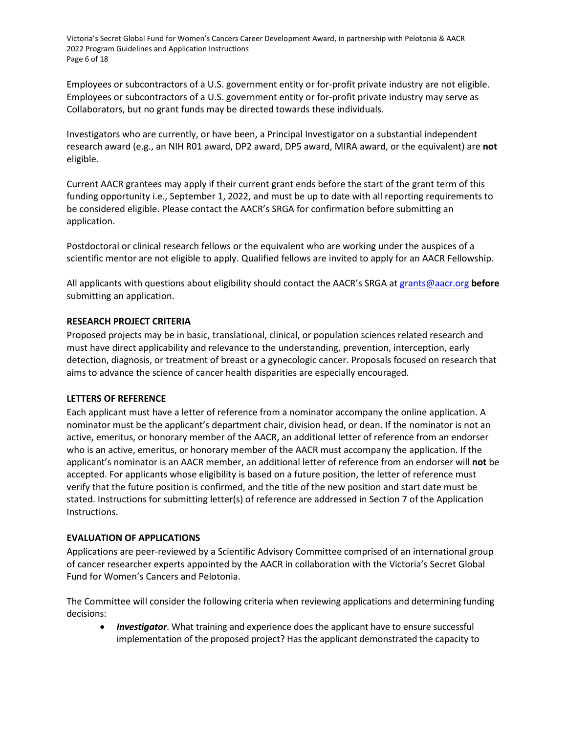Victoria's Secret Global Fund for Women's Cancers Career Development Award, in partnership with Pelotonia & AACR 2022 Program Guidelines and Application Instructions Page 6 of 18

Employees or subcontractors of a U.S. government entity or for-profit private industry are not eligible. Employees or subcontractors of a U.S. government entity or for-profit private industry may serve as Collaborators, but no grant funds may be directed towards these individuals.

Investigators who are currently, or have been, a Principal Investigator on a substantial independent research award (e.g., an NIH R01 award, DP2 award, DP5 award, MIRA award, or the equivalent) are **not** eligible.

Current AACR grantees may apply if their current grant ends before the start of the grant term of this funding opportunity i.e., September 1, 2022, and must be up to date with all reporting requirements to be considered eligible. Please contact the AACR's SRGA for confirmation before submitting an application.

Postdoctoral or clinical research fellows or the equivalent who are working under the auspices of a scientific mentor are not eligible to apply. Qualified fellows are invited to apply for an AACR Fellowship.

All applicants with questions about eligibility should contact the AACR's SRGA at [grants@aacr.org](mailto:grants@aacr.org) **before**  submitting an application.

# <span id="page-5-0"></span>**RESEARCH PROJECT CRITERIA**

Proposed projects may be in basic, translational, clinical, or population sciences related research and must have direct applicability and relevance to the understanding, prevention, interception, early detection, diagnosis, or treatment of breast or a gynecologic cancer. Proposals focused on research that aims to advance the science of cancer health disparities are especially encouraged.

# <span id="page-5-1"></span>**LETTERS OF REFERENCE**

Each applicant must have a letter of reference from a nominator accompany the online application. A nominator must be the applicant's department chair, division head, or dean. If the nominator is not an active, emeritus, or honorary member of the AACR, an additional letter of reference from an endorser who is an active, emeritus, or honorary member of the AACR must accompany the application. If the applicant's nominator is an AACR member, an additional letter of reference from an endorser will **not** be accepted. For applicants whose eligibility is based on a future position, the letter of reference must verify that the future position is confirmed, and the title of the new position and start date must be stated. Instructions for submitting letter(s) of reference are addressed in Section 7 of the Application Instructions.

# <span id="page-5-2"></span>**EVALUATION OF APPLICATIONS**

Applications are peer-reviewed by a Scientific Advisory Committee comprised of an international group of cancer researcher experts appointed by the AACR in collaboration with the Victoria's Secret Global Fund for Women's Cancers and Pelotonia.

The Committee will consider the following criteria when reviewing applications and determining funding decisions:

• *Investigator*. What training and experience does the applicant have to ensure successful implementation of the proposed project? Has the applicant demonstrated the capacity to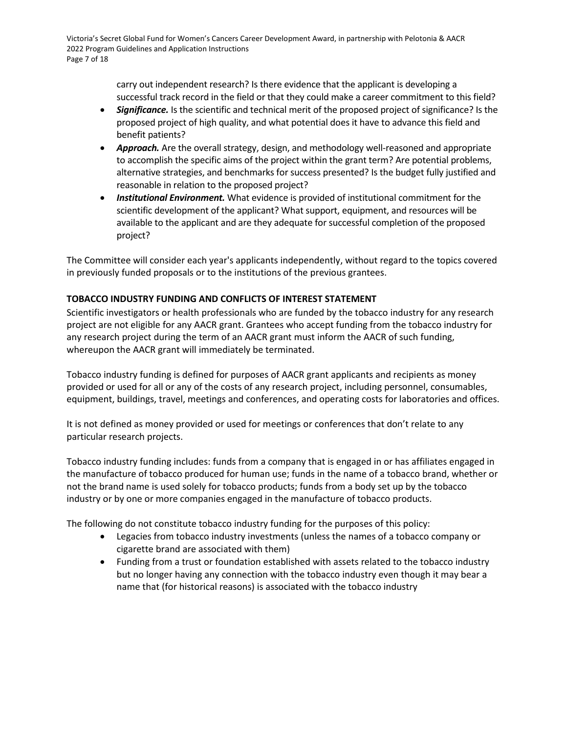Victoria's Secret Global Fund for Women's Cancers Career Development Award, in partnership with Pelotonia & AACR 2022 Program Guidelines and Application Instructions Page 7 of 18

> carry out independent research? Is there evidence that the applicant is developing a successful track record in the field or that they could make a career commitment to this field?

- *Significance.* Is the scientific and technical merit of the proposed project of significance? Is the proposed project of high quality, and what potential does it have to advance this field and benefit patients?
- *Approach.* Are the overall strategy, design, and methodology well-reasoned and appropriate to accomplish the specific aims of the project within the grant term? Are potential problems, alternative strategies, and benchmarks for success presented? Is the budget fully justified and reasonable in relation to the proposed project?
- *Institutional Environment.* What evidence is provided of institutional commitment for the scientific development of the applicant? What support, equipment, and resources will be available to the applicant and are they adequate for successful completion of the proposed project?

The Committee will consider each year's applicants independently, without regard to the topics covered in previously funded proposals or to the institutions of the previous grantees.

# <span id="page-6-0"></span>**TOBACCO INDUSTRY FUNDING AND CONFLICTS OF INTEREST STATEMENT**

Scientific investigators or health professionals who are funded by the tobacco industry for any research project are not eligible for any AACR grant. Grantees who accept funding from the tobacco industry for any research project during the term of an AACR grant must inform the AACR of such funding, whereupon the AACR grant will immediately be terminated.

Tobacco industry funding is defined for purposes of AACR grant applicants and recipients as money provided or used for all or any of the costs of any research project, including personnel, consumables, equipment, buildings, travel, meetings and conferences, and operating costs for laboratories and offices.

It is not defined as money provided or used for meetings or conferences that don't relate to any particular research projects.

Tobacco industry funding includes: funds from a company that is engaged in or has affiliates engaged in the manufacture of tobacco produced for human use; funds in the name of a tobacco brand, whether or not the brand name is used solely for tobacco products; funds from a body set up by the tobacco industry or by one or more companies engaged in the manufacture of tobacco products.

The following do not constitute tobacco industry funding for the purposes of this policy:

- Legacies from tobacco industry investments (unless the names of a tobacco company or cigarette brand are associated with them)
- Funding from a trust or foundation established with assets related to the tobacco industry but no longer having any connection with the tobacco industry even though it may bear a name that (for historical reasons) is associated with the tobacco industry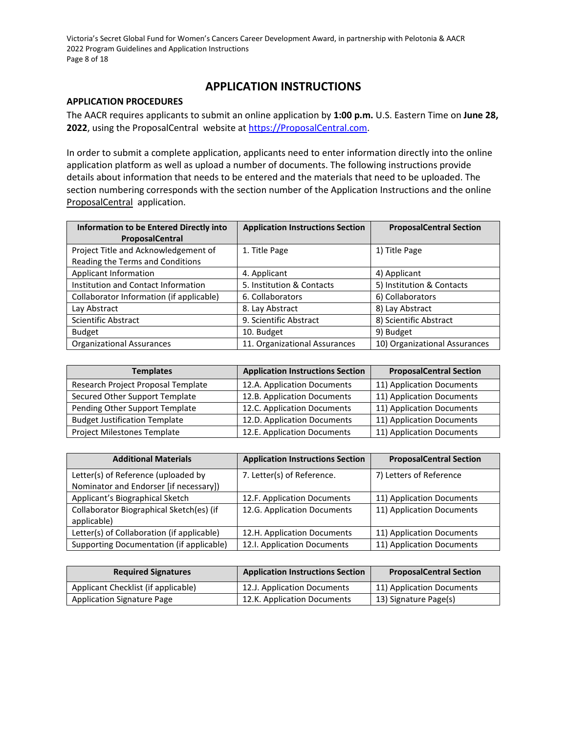Victoria's Secret Global Fund for Women's Cancers Career Development Award, in partnership with Pelotonia & AACR 2022 Program Guidelines and Application Instructions Page 8 of 18

# **APPLICATION INSTRUCTIONS**

# <span id="page-7-0"></span>**APPLICATION PROCEDURES**

The AACR requires applicants to submit an online application by **1:00 p.m.** U.S. Eastern Time on **June 28,**  2022, using the ProposalCentral website a[t https://ProposalCentral.com.](https://proposalcentral.com/)

In order to submit a complete application, applicants need to enter information directly into the online application platform as well as upload a number of documents. The following instructions provide details about information that needs to be entered and the materials that need to be uploaded. The section numbering corresponds with the section number of the Application Instructions and the online ProposalCentral application.

| <b>Information to be Entered Directly into</b> | <b>Application Instructions Section</b> | <b>ProposalCentral Section</b> |
|------------------------------------------------|-----------------------------------------|--------------------------------|
| ProposalCentral                                |                                         |                                |
| Project Title and Acknowledgement of           | 1. Title Page                           | 1) Title Page                  |
| Reading the Terms and Conditions               |                                         |                                |
| Applicant Information                          | 4. Applicant                            | 4) Applicant                   |
| Institution and Contact Information            | 5. Institution & Contacts               | 5) Institution & Contacts      |
| Collaborator Information (if applicable)       | 6. Collaborators                        | 6) Collaborators               |
| Lay Abstract                                   | 8. Lay Abstract                         | 8) Lay Abstract                |
| <b>Scientific Abstract</b>                     | 9. Scientific Abstract                  | 8) Scientific Abstract         |
| <b>Budget</b>                                  | 10. Budget                              | 9) Budget                      |
| <b>Organizational Assurances</b>               | 11. Organizational Assurances           | 10) Organizational Assurances  |

| <b>Templates</b>                     | <b>Application Instructions Section</b> | <b>ProposalCentral Section</b> |
|--------------------------------------|-----------------------------------------|--------------------------------|
| Research Project Proposal Template   | 12.A. Application Documents             | 11) Application Documents      |
| Secured Other Support Template       | 12.B. Application Documents             | 11) Application Documents      |
| Pending Other Support Template       | 12.C. Application Documents             | 11) Application Documents      |
| <b>Budget Justification Template</b> | 12.D. Application Documents             | 11) Application Documents      |
| Project Milestones Template          | 12.E. Application Documents             | 11) Application Documents      |

| <b>Additional Materials</b>                | <b>Application Instructions Section</b> | <b>ProposalCentral Section</b> |
|--------------------------------------------|-----------------------------------------|--------------------------------|
| Letter(s) of Reference (uploaded by        | 7. Letter(s) of Reference.              | 7) Letters of Reference        |
| Nominator and Endorser [if necessary])     |                                         |                                |
| Applicant's Biographical Sketch            | 12.F. Application Documents             | 11) Application Documents      |
| Collaborator Biographical Sketch(es) (if   | 12.G. Application Documents             | 11) Application Documents      |
| applicable)                                |                                         |                                |
| Letter(s) of Collaboration (if applicable) | 12.H. Application Documents             | 11) Application Documents      |
| Supporting Documentation (if applicable)   | 12.I. Application Documents             | 11) Application Documents      |

| <b>Required Signatures</b>          | <b>Application Instructions Section</b> | <b>ProposalCentral Section</b> |
|-------------------------------------|-----------------------------------------|--------------------------------|
| Applicant Checklist (if applicable) | 12.J. Application Documents             | 11) Application Documents      |
| Application Signature Page          | 12.K. Application Documents             | 13) Signature Page(s)          |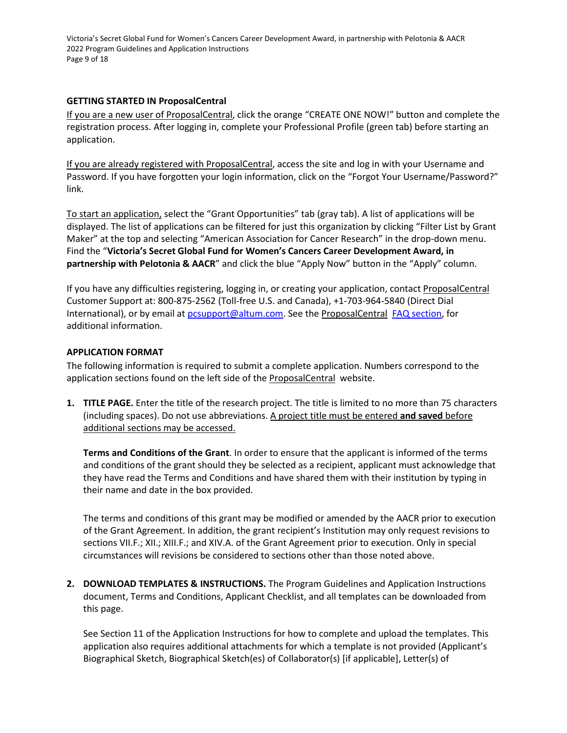Victoria's Secret Global Fund for Women's Cancers Career Development Award, in partnership with Pelotonia & AACR 2022 Program Guidelines and Application Instructions Page 9 of 18

# <span id="page-8-0"></span>**GETTING STARTED IN ProposalCentral**

If you are a new user of ProposalCentral, click the orange "CREATE ONE NOW!" button and complete the registration process. After logging in, complete your Professional Profile (green tab) before starting an application.

If you are already registered with ProposalCentral, access the site and log in with your Username and Password. If you have forgotten your login information, click on the "Forgot Your Username/Password?" link.

To start an application, select the "Grant Opportunities" tab (gray tab). A list of applications will be displayed. The list of applications can be filtered for just this organization by clicking "Filter List by Grant Maker" at the top and selecting "American Association for Cancer Research" in the drop-down menu. Find the "**Victoria's Secret Global Fund for Women's Cancers Career Development Award, in partnership with Pelotonia & AACR**" and click the blue "Apply Now" button in the "Apply" column.

If you have any difficulties registering, logging in, or creating your application, contact ProposalCentral Customer Support at: 800-875-2562 (Toll-free U.S. and Canada), +1-703-964-5840 (Direct Dial International), or by email a[t pcsupport@altum.com.](mailto:pcsupport@altum.com) See the ProposalCentral [FAQ](https://proposalcentral.com/FAQ/FrequentlyAskedQuestions.asp) section, for additional information.

# <span id="page-8-1"></span>**APPLICATION FORMAT**

The following information is required to submit a complete application. Numbers correspond to the application sections found on the left side of the **ProposalCentral** website.

**1. TITLE PAGE.** Enter the title of the research project. The title is limited to no more than 75 characters (including spaces). Do not use abbreviations. A project title must be entered **and saved** before additional sections may be accessed.

**Terms and Conditions of the Grant**. In order to ensure that the applicant is informed of the terms and conditions of the grant should they be selected as a recipient, applicant must acknowledge that they have read the Terms and Conditions and have shared them with their institution by typing in their name and date in the box provided.

The terms and conditions of this grant may be modified or amended by the AACR prior to execution of the Grant Agreement. In addition, the grant recipient's Institution may only request revisions to sections VII.F.; XII.; XIII.F.; and XIV.A. of the Grant Agreement prior to execution. Only in special circumstances will revisions be considered to sections other than those noted above.

**2. DOWNLOAD TEMPLATES & INSTRUCTIONS.** The Program Guidelines and Application Instructions document, Terms and Conditions, Applicant Checklist, and all templates can be downloaded from this page.

See Section 11 of the Application Instructions for how to complete and upload the templates. This application also requires additional attachments for which a template is not provided (Applicant's Biographical Sketch, Biographical Sketch(es) of Collaborator(s) [if applicable], Letter(s) of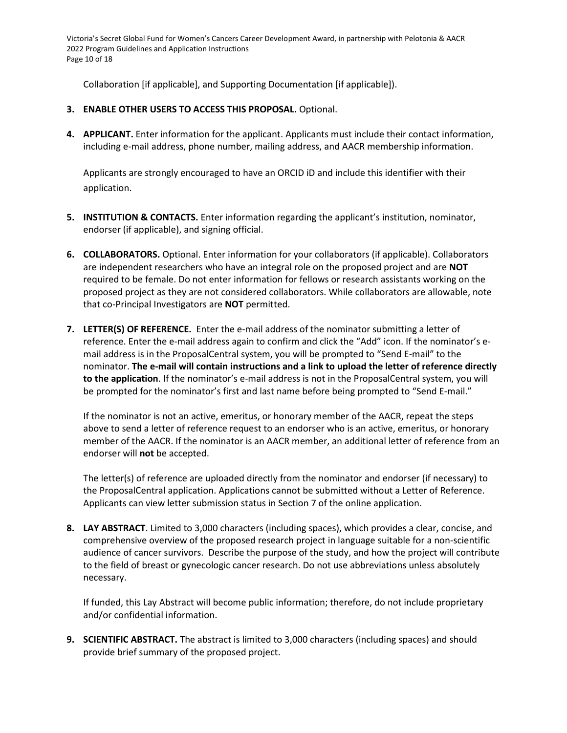Victoria's Secret Global Fund for Women's Cancers Career Development Award, in partnership with Pelotonia & AACR 2022 Program Guidelines and Application Instructions Page 10 of 18

Collaboration [if applicable], and Supporting Documentation [if applicable]).

- **3. ENABLE OTHER USERS TO ACCESS THIS PROPOSAL.** Optional.
- **4. APPLICANT.** Enter information for the applicant. Applicants must include their contact information, including e-mail address, phone number, mailing address, and AACR membership information.

Applicants are strongly encouraged to have an ORCID iD and include this identifier with their application.

- **5. INSTITUTION & CONTACTS.** Enter information regarding the applicant's institution, nominator, endorser (if applicable), and signing official.
- **6. COLLABORATORS.** Optional. Enter information for your collaborators (if applicable). Collaborators are independent researchers who have an integral role on the proposed project and are **NOT** required to be female. Do not enter information for fellows or research assistants working on the proposed project as they are not considered collaborators. While collaborators are allowable, note that co-Principal Investigators are **NOT** permitted.
- **7. LETTER(S) OF REFERENCE.** Enter the e-mail address of the nominator submitting a letter of reference. Enter the e-mail address again to confirm and click the "Add" icon. If the nominator's email address is in the ProposalCentral system, you will be prompted to "Send E-mail" to the nominator. **The e-mail will contain instructions and a link to upload the letter of reference directly to the application**. If the nominator's e-mail address is not in the ProposalCentral system, you will be prompted for the nominator's first and last name before being prompted to "Send E-mail."

If the nominator is not an active, emeritus, or honorary member of the AACR, repeat the steps above to send a letter of reference request to an endorser who is an active, emeritus, or honorary member of the AACR. If the nominator is an AACR member, an additional letter of reference from an endorser will **not** be accepted.

The letter(s) of reference are uploaded directly from the nominator and endorser (if necessary) to the ProposalCentral application. Applications cannot be submitted without a Letter of Reference. Applicants can view letter submission status in Section 7 of the online application.

**8. LAY ABSTRACT**. Limited to 3,000 characters (including spaces), which provides a clear, concise, and comprehensive overview of the proposed research project in language suitable for a non-scientific audience of cancer survivors. Describe the purpose of the study, and how the project will contribute to the field of breast or gynecologic cancer research. Do not use abbreviations unless absolutely necessary.

If funded, this Lay Abstract will become public information; therefore, do not include proprietary and/or confidential information.

**9. SCIENTIFIC ABSTRACT.** The abstract is limited to 3,000 characters (including spaces) and should provide brief summary of the proposed project.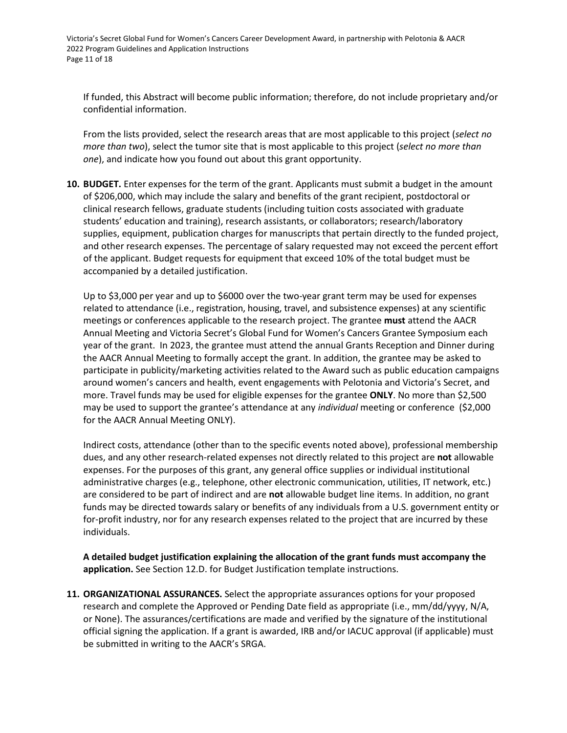Victoria's Secret Global Fund for Women's Cancers Career Development Award, in partnership with Pelotonia & AACR 2022 Program Guidelines and Application Instructions Page 11 of 18

If funded, this Abstract will become public information; therefore, do not include proprietary and/or confidential information.

From the lists provided, select the research areas that are most applicable to this project (*select no more than two*), select the tumor site that is most applicable to this project (*select no more than one*), and indicate how you found out about this grant opportunity.

**10. BUDGET.** Enter expenses for the term of the grant. Applicants must submit a budget in the amount of \$206,000, which may include the salary and benefits of the grant recipient, postdoctoral or clinical research fellows, graduate students (including tuition costs associated with graduate students' education and training), research assistants, or collaborators; research/laboratory supplies, equipment, publication charges for manuscripts that pertain directly to the funded project, and other research expenses. The percentage of salary requested may not exceed the percent effort of the applicant. Budget requests for equipment that exceed 10% of the total budget must be accompanied by a detailed justification.

Up to \$3,000 per year and up to \$6000 over the two-year grant term may be used for expenses related to attendance (i.e., registration, housing, travel, and subsistence expenses) at any scientific meetings or conferences applicable to the research project. The grantee **must** attend the AACR Annual Meeting and Victoria Secret's Global Fund for Women's Cancers Grantee Symposium each year of the grant. In 2023, the grantee must attend the annual Grants Reception and Dinner during the AACR Annual Meeting to formally accept the grant. In addition, the grantee may be asked to participate in publicity/marketing activities related to the Award such as public education campaigns around women's cancers and health, event engagements with Pelotonia and Victoria's Secret, and more. Travel funds may be used for eligible expenses for the grantee **ONLY**. No more than \$2,500 may be used to support the grantee's attendance at any *individual* meeting or conference (\$2,000 for the AACR Annual Meeting ONLY).

Indirect costs, attendance (other than to the specific events noted above), professional membership dues, and any other research-related expenses not directly related to this project are **not** allowable expenses. For the purposes of this grant, any general office supplies or individual institutional administrative charges (e.g., telephone, other electronic communication, utilities, IT network, etc.) are considered to be part of indirect and are **not** allowable budget line items. In addition, no grant funds may be directed towards salary or benefits of any individuals from a U.S. government entity or for-profit industry, nor for any research expenses related to the project that are incurred by these individuals.

**A detailed budget justification explaining the allocation of the grant funds must accompany the application.** See Section 12.D. for Budget Justification template instructions.

**11. ORGANIZATIONAL ASSURANCES.** Select the appropriate assurances options for your proposed research and complete the Approved or Pending Date field as appropriate (i.e., mm/dd/yyyy, N/A, or None). The assurances/certifications are made and verified by the signature of the institutional official signing the application. If a grant is awarded, IRB and/or IACUC approval (if applicable) must be submitted in writing to the AACR's SRGA.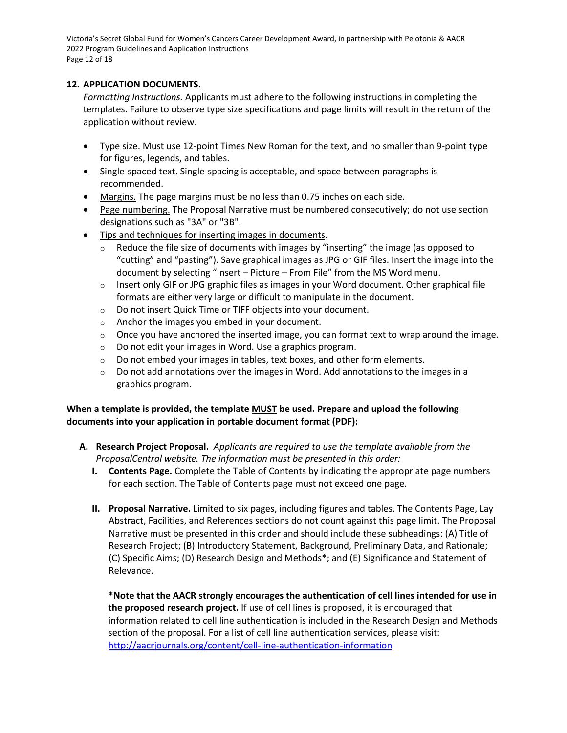Victoria's Secret Global Fund for Women's Cancers Career Development Award, in partnership with Pelotonia & AACR 2022 Program Guidelines and Application Instructions Page 12 of 18

# **12. APPLICATION DOCUMENTS.**

*Formatting Instructions.* Applicants must adhere to the following instructions in completing the templates. Failure to observe type size specifications and page limits will result in the return of the application without review.

- Type size. Must use 12-point Times New Roman for the text, and no smaller than 9-point type for figures, legends, and tables.
- Single-spaced text. Single-spacing is acceptable, and space between paragraphs is recommended.
- Margins. The page margins must be no less than 0.75 inches on each side.
- Page numbering. The Proposal Narrative must be numbered consecutively; do not use section designations such as "3A" or "3B".
- Tips and techniques for inserting images in documents.
	- $\circ$  Reduce the file size of documents with images by "inserting" the image (as opposed to "cutting" and "pasting"). Save graphical images as JPG or GIF files. Insert the image into the document by selecting "Insert – Picture – From File" from the MS Word menu.
	- $\circ$  Insert only GIF or JPG graphic files as images in your Word document. Other graphical file formats are either very large or difficult to manipulate in the document.
	- o Do not insert Quick Time or TIFF objects into your document.
	- o Anchor the images you embed in your document.
	- $\circ$  Once you have anchored the inserted image, you can format text to wrap around the image.
	- o Do not edit your images in Word. Use a graphics program.
	- $\circ$  Do not embed your images in tables, text boxes, and other form elements.
	- $\circ$  Do not add annotations over the images in Word. Add annotations to the images in a graphics program.

# **When a template is provided, the template MUST be used. Prepare and upload the following documents into your application in portable document format (PDF):**

- **A. Research Project Proposal.** *Applicants are required to use the template available from the ProposalCentral website. The information must be presented in this order:*
	- **I. Contents Page.** Complete the Table of Contents by indicating the appropriate page numbers for each section. The Table of Contents page must not exceed one page.
	- **II. Proposal Narrative.** Limited to six pages, including figures and tables. The Contents Page, Lay Abstract, Facilities, and References sections do not count against this page limit. The Proposal Narrative must be presented in this order and should include these subheadings: (A) Title of Research Project; (B) Introductory Statement, Background, Preliminary Data, and Rationale; (C) Specific Aims; (D) Research Design and Methods\*; and (E) Significance and Statement of Relevance.

**\*Note that the AACR strongly encourages the authentication of cell lines intended for use in the proposed research project.** If use of cell lines is proposed, it is encouraged that information related to cell line authentication is included in the Research Design and Methods section of the proposal. For a list of cell line authentication services, please visit: <http://aacrjournals.org/content/cell-line-authentication-information>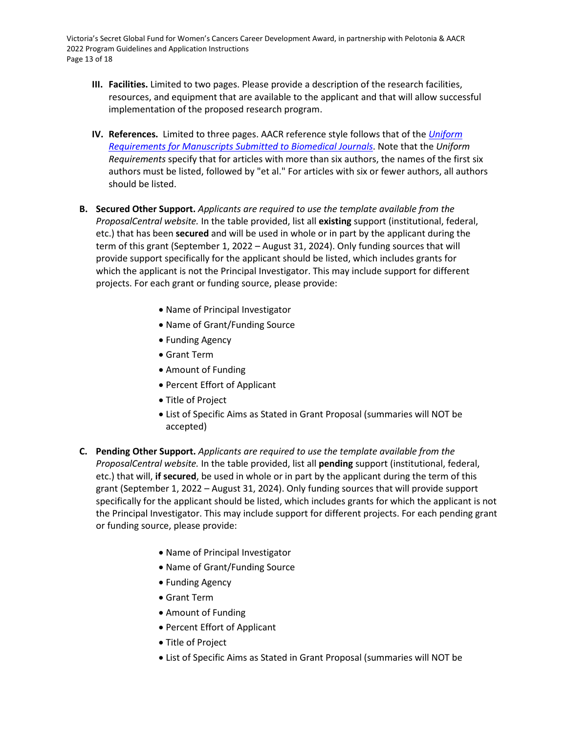Victoria's Secret Global Fund for Women's Cancers Career Development Award, in partnership with Pelotonia & AACR 2022 Program Guidelines and Application Instructions Page 13 of 18

- **III. Facilities.** Limited to two pages. Please provide a description of the research facilities, resources, and equipment that are available to the applicant and that will allow successful implementation of the proposed research program.
- **IV. References.** Limited to three pages. AACR reference style follows that of the *[Uniform](https://www.nlm.nih.gov/bsd/uniform_requirements.html)  [Requirements for Manuscripts Submitted to Biomedical Journals](https://www.nlm.nih.gov/bsd/uniform_requirements.html)*. Note that the *Uniform Requirements* specify that for articles with more than six authors, the names of the first six authors must be listed, followed by "et al." For articles with six or fewer authors, all authors should be listed.
- **B. Secured Other Support.** *Applicants are required to use the template available from the ProposalCentral website.* In the table provided, list all **existing** support (institutional, federal, etc.) that has been **secured** and will be used in whole or in part by the applicant during the term of this grant (September 1, 2022 – August 31, 2024). Only funding sources that will provide support specifically for the applicant should be listed, which includes grants for which the applicant is not the Principal Investigator. This may include support for different projects. For each grant or funding source, please provide:
	- Name of Principal Investigator
	- Name of Grant/Funding Source
	- Funding Agency
	- Grant Term
	- Amount of Funding
	- Percent Effort of Applicant
	- Title of Project
	- List of Specific Aims as Stated in Grant Proposal (summaries will NOT be accepted)
- **C. Pending Other Support.** *Applicants are required to use the template available from the ProposalCentral website.* In the table provided, list all **pending** support (institutional, federal, etc.) that will, **if secured**, be used in whole or in part by the applicant during the term of this grant (September 1, 2022 – August 31, 2024). Only funding sources that will provide support specifically for the applicant should be listed, which includes grants for which the applicant is not the Principal Investigator. This may include support for different projects. For each pending grant or funding source, please provide:
	- Name of Principal Investigator
	- Name of Grant/Funding Source
	- Funding Agency
	- Grant Term
	- Amount of Funding
	- Percent Effort of Applicant
	- Title of Project
	- List of Specific Aims as Stated in Grant Proposal (summaries will NOT be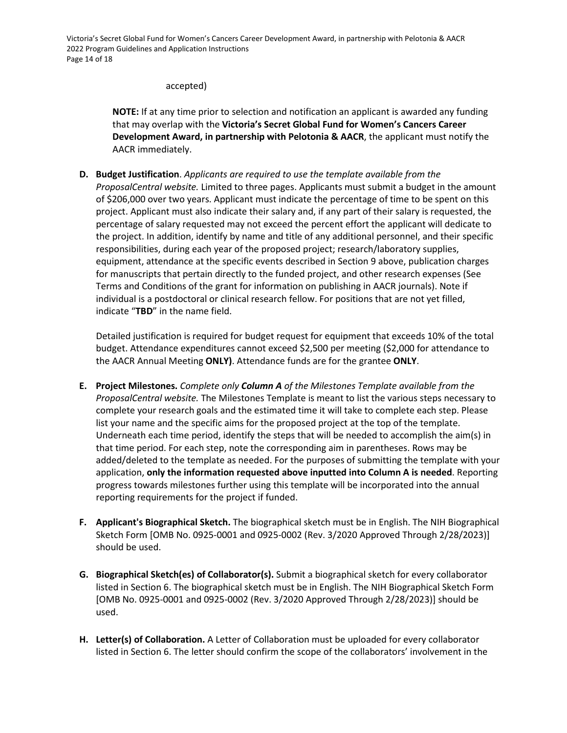Victoria's Secret Global Fund for Women's Cancers Career Development Award, in partnership with Pelotonia & AACR 2022 Program Guidelines and Application Instructions Page 14 of 18

# accepted)

**NOTE:** If at any time prior to selection and notification an applicant is awarded any funding that may overlap with the **Victoria's Secret Global Fund for Women's Cancers Career Development Award, in partnership with Pelotonia & AACR**, the applicant must notify the AACR immediately.

**D. Budget Justification**. *Applicants are required to use the template available from the ProposalCentral website.* Limited to three pages. Applicants must submit a budget in the amount of \$206,000 over two years. Applicant must indicate the percentage of time to be spent on this project. Applicant must also indicate their salary and, if any part of their salary is requested, the percentage of salary requested may not exceed the percent effort the applicant will dedicate to the project. In addition, identify by name and title of any additional personnel, and their specific responsibilities, during each year of the proposed project; research/laboratory supplies, equipment, attendance at the specific events described in Section 9 above, publication charges for manuscripts that pertain directly to the funded project, and other research expenses (See Terms and Conditions of the grant for information on publishing in AACR journals). Note if individual is a postdoctoral or clinical research fellow. For positions that are not yet filled, indicate "**TBD**" in the name field.

Detailed justification is required for budget request for equipment that exceeds 10% of the total budget. Attendance expenditures cannot exceed \$2,500 per meeting (\$2,000 for attendance to the AACR Annual Meeting **ONLY)**. Attendance funds are for the grantee **ONLY**.

- **E. Project Milestones.** *Complete only Column A of the Milestones Template available from the ProposalCentral website.* The Milestones Template is meant to list the various steps necessary to complete your research goals and the estimated time it will take to complete each step. Please list your name and the specific aims for the proposed project at the top of the template. Underneath each time period, identify the steps that will be needed to accomplish the aim(s) in that time period. For each step, note the corresponding aim in parentheses. Rows may be added/deleted to the template as needed. For the purposes of submitting the template with your application, **only the information requested above inputted into Column A is needed**. Reporting progress towards milestones further using this template will be incorporated into the annual reporting requirements for the project if funded.
- **F. Applicant's Biographical Sketch.** The biographical sketch must be in English. The NIH Biographical Sketch Form [OMB No. 0925-0001 and 0925-0002 (Rev. 3/2020 Approved Through 2/28/2023)] should be used.
- **G. Biographical Sketch(es) of Collaborator(s).** Submit a biographical sketch for every collaborator listed in Section 6. The biographical sketch must be in English. The NIH Biographical Sketch Form [OMB No. 0925-0001 and 0925-0002 (Rev. 3/2020 Approved Through 2/28/2023)] should be used.
- **H. Letter(s) of Collaboration.** A Letter of Collaboration must be uploaded for every collaborator listed in Section 6. The letter should confirm the scope of the collaborators' involvement in the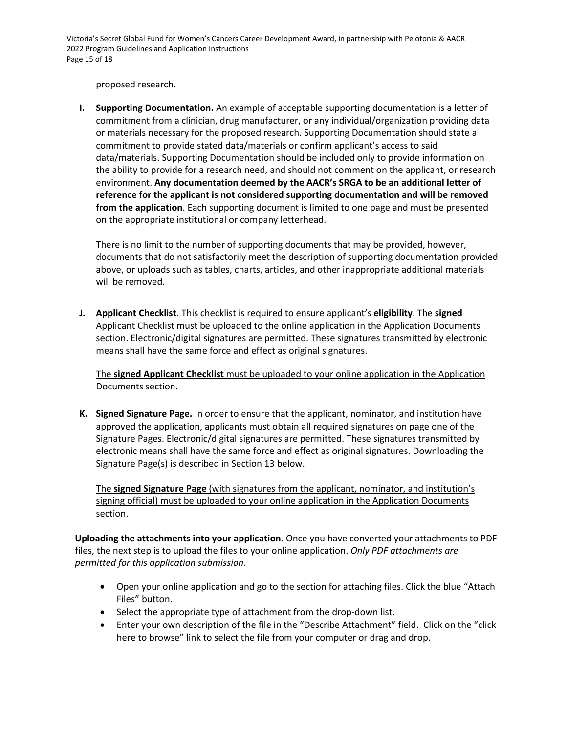Victoria's Secret Global Fund for Women's Cancers Career Development Award, in partnership with Pelotonia & AACR 2022 Program Guidelines and Application Instructions Page 15 of 18

proposed research.

**I. Supporting Documentation.** An example of acceptable supporting documentation is a letter of commitment from a clinician, drug manufacturer, or any individual/organization providing data or materials necessary for the proposed research. Supporting Documentation should state a commitment to provide stated data/materials or confirm applicant's access to said data/materials. Supporting Documentation should be included only to provide information on the ability to provide for a research need, and should not comment on the applicant, or research environment. **Any documentation deemed by the AACR's SRGA to be an additional letter of reference for the applicant is not considered supporting documentation and will be removed from the application**. Each supporting document is limited to one page and must be presented on the appropriate institutional or company letterhead.

There is no limit to the number of supporting documents that may be provided, however, documents that do not satisfactorily meet the description of supporting documentation provided above, or uploads such as tables, charts, articles, and other inappropriate additional materials will be removed.

**J. Applicant Checklist.** This checklist is required to ensure applicant's **eligibility**. The **signed** Applicant Checklist must be uploaded to the online application in the Application Documents section. Electronic/digital signatures are permitted. These signatures transmitted by electronic means shall have the same force and effect as original signatures.

The **signed Applicant Checklist** must be uploaded to your online application in the Application Documents section.

**K. Signed Signature Page.** In order to ensure that the applicant, nominator, and institution have approved the application, applicants must obtain all required signatures on page one of the Signature Pages. Electronic/digital signatures are permitted. These signatures transmitted by electronic means shall have the same force and effect as original signatures. Downloading the Signature Page(s) is described in Section 13 below.

The **signed Signature Page** (with signatures from the applicant, nominator, and institution's signing official) must be uploaded to your online application in the Application Documents section.

**Uploading the attachments into your application.** Once you have converted your attachments to PDF files, the next step is to upload the files to your online application. *Only PDF attachments are permitted for this application submission.*

- Open your online application and go to the section for attaching files. Click the blue "Attach Files" button.
- Select the appropriate type of attachment from the drop-down list.
- Enter your own description of the file in the "Describe Attachment" field. Click on the "click here to browse" link to select the file from your computer or drag and drop.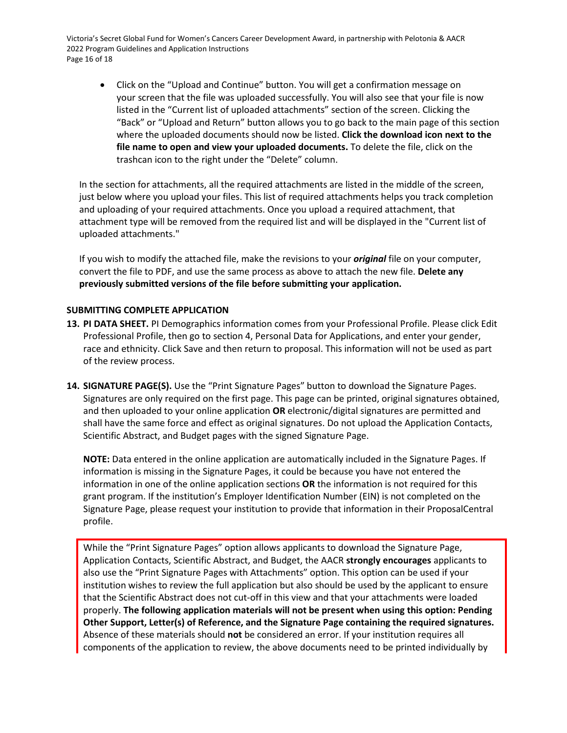Victoria's Secret Global Fund for Women's Cancers Career Development Award, in partnership with Pelotonia & AACR 2022 Program Guidelines and Application Instructions Page 16 of 18

• Click on the "Upload and Continue" button. You will get a confirmation message on your screen that the file was uploaded successfully. You will also see that your file is now listed in the "Current list of uploaded attachments" section of the screen. Clicking the "Back" or "Upload and Return" button allows you to go back to the main page of this section where the uploaded documents should now be listed. **Click the download icon next to the file name to open and view your uploaded documents.** To delete the file, click on the trashcan icon to the right under the "Delete" column.

In the section for attachments, all the required attachments are listed in the middle of the screen, just below where you upload your files. This list of required attachments helps you track completion and uploading of your required attachments. Once you upload a required attachment, that attachment type will be removed from the required list and will be displayed in the "Current list of uploaded attachments."

If you wish to modify the attached file, make the revisions to your *original* file on your computer, convert the file to PDF, and use the same process as above to attach the new file. **Delete any previously submitted versions of the file before submitting your application.**

# <span id="page-15-0"></span>**SUBMITTING COMPLETE APPLICATION**

- **13. PI DATA SHEET.** PI Demographics information comes from your Professional Profile. Please click Edit Professional Profile, then go to section 4, Personal Data for Applications, and enter your gender, race and ethnicity. Click Save and then return to proposal. This information will not be used as part of the review process.
- **14. SIGNATURE PAGE(S).** Use the "Print Signature Pages" button to download the Signature Pages. Signatures are only required on the first page. This page can be printed, original signatures obtained, and then uploaded to your online application **OR** electronic/digital signatures are permitted and shall have the same force and effect as original signatures. Do not upload the Application Contacts, Scientific Abstract, and Budget pages with the signed Signature Page.

**NOTE:** Data entered in the online application are automatically included in the Signature Pages. If information is missing in the Signature Pages, it could be because you have not entered the information in one of the online application sections **OR** the information is not required for this grant program. If the institution's Employer Identification Number (EIN) is not completed on the Signature Page, please request your institution to provide that information in their ProposalCentral profile.

While the "Print Signature Pages" option allows applicants to download the Signature Page, Application Contacts, Scientific Abstract, and Budget, the AACR **strongly encourages** applicants to also use the "Print Signature Pages with Attachments" option. This option can be used if your institution wishes to review the full application but also should be used by the applicant to ensure that the Scientific Abstract does not cut-off in this view and that your attachments were loaded properly. **The following application materials will not be present when using this option: Pending Other Support, Letter(s) of Reference, and the Signature Page containing the required signatures.** Absence of these materials should **not** be considered an error. If your institution requires all components of the application to review, the above documents need to be printed individually by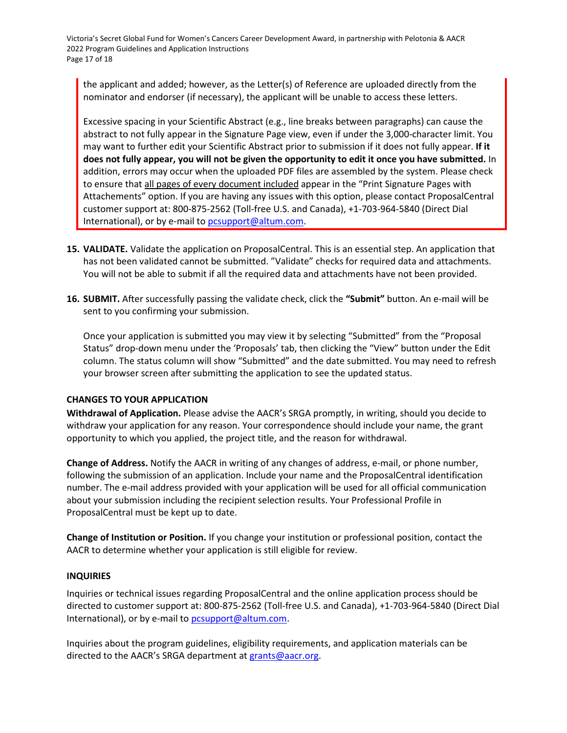Victoria's Secret Global Fund for Women's Cancers Career Development Award, in partnership with Pelotonia & AACR 2022 Program Guidelines and Application Instructions Page 17 of 18

the applicant and added; however, as the Letter(s) of Reference are uploaded directly from the nominator and endorser (if necessary), the applicant will be unable to access these letters.

Excessive spacing in your Scientific Abstract (e.g., line breaks between paragraphs) can cause the abstract to not fully appear in the Signature Page view, even if under the 3,000-character limit. You may want to further edit your Scientific Abstract prior to submission if it does not fully appear. **If it does not fully appear, you will not be given the opportunity to edit it once you have submitted.** In addition, errors may occur when the uploaded PDF files are assembled by the system. Please check to ensure that all pages of every document included appear in the "Print Signature Pages with Attachements" option. If you are having any issues with this option, please contact ProposalCentral customer support at: 800-875-2562 (Toll-free U.S. and Canada), +1-703-964-5840 (Direct Dial International), or by e-mail t[o pcsupport@altum.com.](mailto:pcsupport@altum.com)

- **15. VALIDATE.** Validate the application on ProposalCentral. This is an essential step. An application that has not been validated cannot be submitted. "Validate" checks for required data and attachments. You will not be able to submit if all the required data and attachments have not been provided.
- **16. SUBMIT.** After successfully passing the validate check, click the **"Submit"** button. An e-mail will be sent to you confirming your submission.

Once your application is submitted you may view it by selecting "Submitted" from the "Proposal Status" drop-down menu under the 'Proposals' tab, then clicking the "View" button under the Edit column. The status column will show "Submitted" and the date submitted. You may need to refresh your browser screen after submitting the application to see the updated status.

# <span id="page-16-0"></span>**CHANGES TO YOUR APPLICATION**

**Withdrawal of Application.** Please advise the AACR's SRGA promptly, in writing, should you decide to withdraw your application for any reason. Your correspondence should include your name, the grant opportunity to which you applied, the project title, and the reason for withdrawal.

**Change of Address.** Notify the AACR in writing of any changes of address, e-mail, or phone number, following the submission of an application. Include your name and the ProposalCentral identification number. The e-mail address provided with your application will be used for all official communication about your submission including the recipient selection results. Your Professional Profile in ProposalCentral must be kept up to date.

**Change of Institution or Position.** If you change your institution or professional position, contact the AACR to determine whether your application is still eligible for review.

# **INQUIRIES**

Inquiries or technical issues regarding ProposalCentral and the online application process should be directed to customer support at: 800-875-2562 (Toll-free U.S. and Canada), +1-703-964-5840 (Direct Dial International), or by e-mail t[o pcsupport@altum.com.](mailto:pcsupport@altum.com)

Inquiries about the program guidelines, eligibility requirements, and application materials can be directed to the AACR's SRGA department a[t grants@aacr.org.](mailto:grants@aacr.org)